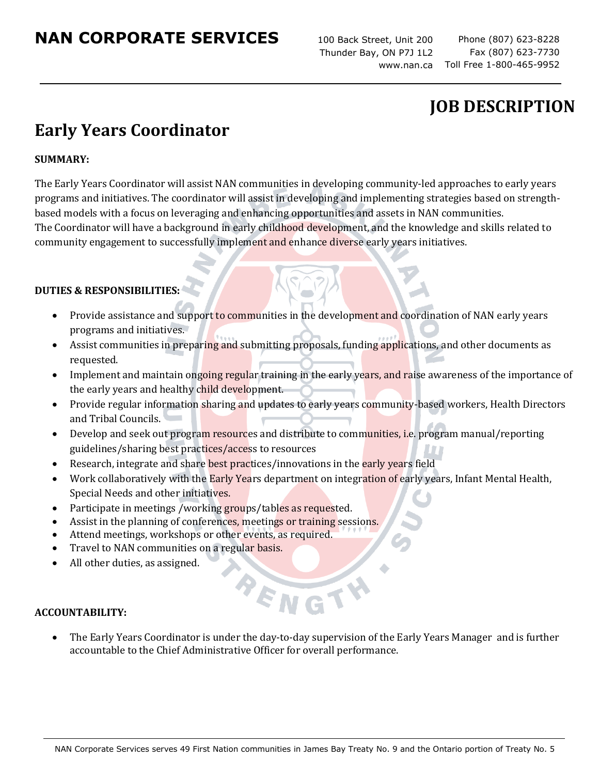## **NAN CORPORATE SERVICES**

100 Back Street, Unit 200 Thunder Bay, ON P7J 1L2 www.nan.ca

Phone (807) 623-8228 Fax (807) 623-7730 Toll Free 1-800-465-9952

## **JOB DESCRIPTION**

# **Early Years Coordinator**

### **SUMMARY:**

The Early Years Coordinator will assist NAN communities in developing community-led approaches to early years programs and initiatives. The coordinator will assist in developing and implementing strategies based on strengthbased models with a focus on leveraging and enhancing opportunities and assets in NAN communities. The Coordinator will have a background in early childhood development, and the knowledge and skills related to community engagement to successfully implement and enhance diverse early years initiatives.

#### **DUTIES & RESPONSIBILITIES:**

- Provide assistance and support to communities in the development and coordination of NAN early years programs and initiatives.
- Assist communities in preparing and submitting proposals, funding applications, and other documents as requested.
- Implement and maintain ongoing regular training in the early years, and raise awareness of the importance of the early years and healthy child development.
- Provide regular information sharing and updates to early years community-based workers, Health Directors and Tribal Councils.
- Develop and seek out program resources and distribute to communities, i.e. program manual/reporting guidelines/sharing best practices/access to resources
- Research, integrate and share best practices/innovations in the early years field
- Work collaboratively with the **Early Yea**rs department on integration of early years, Infant Mental Health, Special Needs and other initiatives.
- Participate in meetings /working groups/tables as requested.
- Assist in the planning of conferences, meetings or training sessions.
- Attend meetings, workshops or other events, as required.
- Travel to NAN communities on a regular basis.
- All other duties, as assigned.

#### **ACCOUNTABILITY:**

• The Early Years Coordinator is under the day-to-day supervision of the Early Years Manager and is further accountable to the Chief Administrative Officer for overall performance.

BENG